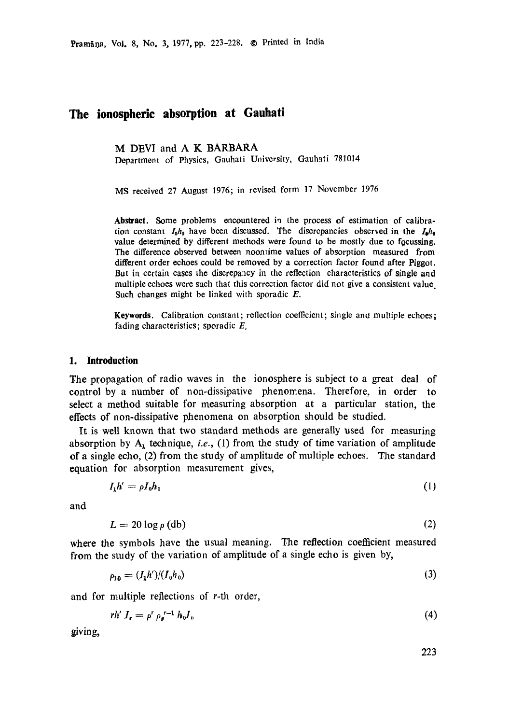# **The ionospheric absorption at Gauhati**

M DEVI and A K BARBARA

Department of Physics, Gauhati University, Gauhati 781014

MS received 27 August 1976; in revised form 17 November 1976

Abstract. Some problems encountered in the process of estimation of calibration constant  $I_0h_0$  have been discussed. The discrepancies observed in the  $I_0h_0$ value determined by different methods were found to be mostly due to focussing. The difference observed between noontime values of absorption measured from different order echoes could be removed by a correction factor found after Piggot. But in certain cases the discrepancy in the reflection characteristics of single and multiple echoes were such that this correction factor did not give a consistent value. Such changes might be linked with sporadic  $E$ .

Keywords. Calibration constant; reflection coefficient; single and multiple echoes; fading characteristics; sporadic  $E$ .

### **1. Introduction**

The propagation of radio waves in the ionosphere is subject to a great deal of control by a number of non-dissipative phenomena. Therefore, in order to select a method suitable for measuring absorption at a particular station, the effects of non-dissipative phenomena on absorption should be studied.

It is well known that two standard methods are generally used for measuring absorption by  $A_t$  technique, *i.e.*, (1) from the study of time variation of amplitude of a single echo, (2) from the study of amplitude of multiple echoes. The standard equation for absorption measurement gives,

$$
I_1 h' = \rho I_0 h_0 \tag{1}
$$

and

$$
L = 20 \log \rho \, \text{(db)} \tag{2}
$$

where the symbols have the usual meaning. The reflection coefficient measured from the study of the variation of amplitude of a single echo is given by,

$$
\rho_{10} = (I_1 h')/(I_0 h_0) \tag{3}
$$

and for multiple reflections of r-th order,

$$
r h' I_r = \rho^r \rho_g^{r-1} h_0 I_0 \tag{4}
$$

giving,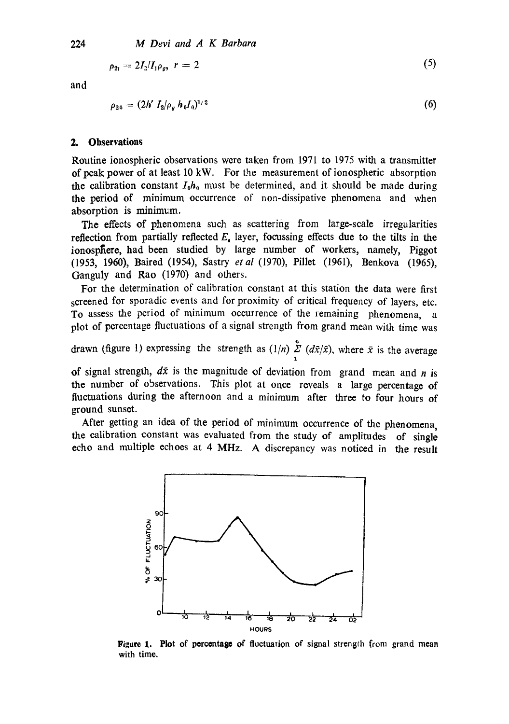$$
\rho_{21} = 2I_2/I_1 \rho_o, \quad r = 2 \tag{5}
$$

and

$$
\rho_{20} = (2h' I_2/\rho_g h_0 I_0)^{1/2} \tag{6}
$$

### **2. Observations**

Routine ionospheric observations were taken from 1971 to 1975 with a transmitter of peak power of at least 10 kW. For the measurement of ionospheric absorption the calibration constant  $I_0h_0$  must be determined, and it should be made during the period of minimum occurrence of non-dissipative phenomena and when absorption is minimum.

The effects of phenomena such as scattering from large-scale irregularities reflection from partially reflected  $E<sub>s</sub>$  layer, focussing effects due to the tilts in the ionosphere, had been studied by large number of workers, namely, Piggot (1953, 1960), Baired (1954), Sastry *et al* (1970), Pillet (1961), Benkova (1965), Ganguly and Rao (1970) and others.

For the determination of calibration constant at this station the data were first screened for sporadic events and for proximity of critical frequency of layers, etc. To assess the period of minimum occurrence of the remaining phenomena, a plot of percentage fluctuations of a signal strength from grand mean with time was

drawn (figure 1) expressing the strength as  $(1/n) \sum_{1} (d\bar{x}/\bar{x})$ , where  $\bar{x}$  is the average

of signal strength,  $d\bar{x}$  is the magnitude of deviation from grand mean and n is the number of observations. This plot at once reveals a large percentage of fluctuations during the afternoon and a minimum after three to four hours of ground sunset.

After getting an idea of the period of minimum occurrence of the phenomena, the calibration constant was evaluated from the study of amplitudes of single echo and multiple echoes at 4 MHz. A discrepancy was noticed in the result



**Figure 1.** Plot of percentage of fluctuation of signal strength from grand mean with time.

224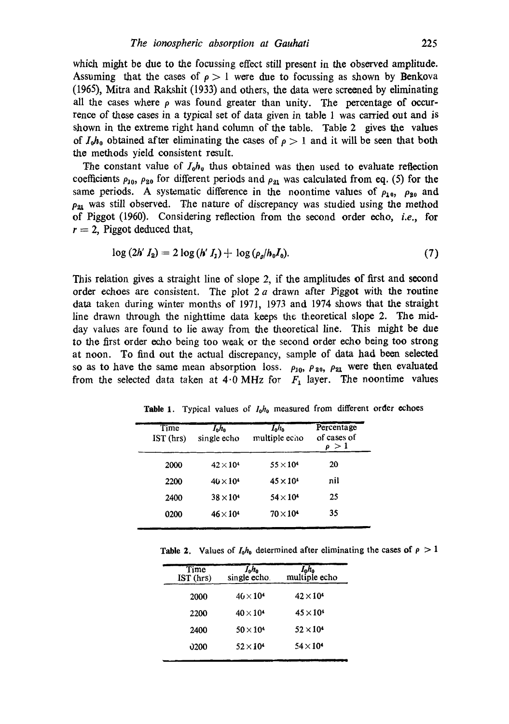which might be due to the focussing effect still present in the observed amplitude. Assuming that the cases of  $\rho > 1$  were due to focussing as shown by Benkova (1965), Mitra and Rakshit (1933) and others, the data were screened by eliminating all the cases where  $\rho$  was found greater than unity. The percentage of occurrence of these cases in a typical set of data given in table 1 was carried out and is shown in the extreme right hand column of the table. Table 2 gives the values of  $I_0h_0$  obtained after eliminating the cases of  $\rho > 1$  and it will be seen that both the methods yield consistent result.

The constant value of  $I_0 h_0$  thus obtained was then used to evaluate reflection coefficients  $\rho_{10}$ ,  $\rho_{20}$  for different periods and  $\rho_{21}$  was calculated from eq. (5) for the same periods. A systematic difference in the noontime values of  $\rho_{10}$ ,  $\rho_{20}$  and  $\rho_{21}$  was still observed. The nature of discrepancy was studied using the method of Piggot (1960). Considering reflection from the second order echo, *i.e.,* for  $r = 2$ , Piggot deduced that,

$$
\log (2h' I_2) = 2 \log (h' I_1) + \log (\rho_g / h_0 I_0).
$$
 (7)

This relation gives a straight line of slope 2, if the amplitudes of first and second order echoes are consistent. The plot  $2a$  drawn after Piggot with the routine data taken during winter months of 1971, 1973 and 1974 shows that the straight line drawn through the nighttime data keeps the theoretical slope 2. The midday values are found to lie away from the theoretical line. This might be due to the first order echo being too weak or the second order echo being too strong at noon. To find out the actual discrepancy, sample of data had been selected so as to have the same mean absorption loss.  $\rho_{10}$ ,  $\rho_{20}$ ,  $\rho_{21}$  were then evaluated from the selected data taken at  $4.0 \text{ MHz}$  for  $F_1$  layer. The noontime values

| $I_0 h_0$<br>single echo | $I_0 h_0$<br>multiple echo | Percentage<br>of cases of<br>$\rho > 1$ |
|--------------------------|----------------------------|-----------------------------------------|
| $42\times10^4$           | $55 \times 10^4$           | 20                                      |
| $40 \times 10^4$         | $45 \times 10^4$           | nil                                     |
| $38\times10^4$           | $54\times10^4$             | 25                                      |
| $46\times10^4$           | $70\times104$              | 35                                      |
|                          |                            |                                         |

**Table** 1. Typical values of *loho* measured from different order echoes

Table 2. Values of  $I_0h_0$  determined after eliminating the cases of  $\rho > 1$ 

J

| $I_0 h_0$<br>single echo. | multiple echo      |
|---------------------------|--------------------|
| $40 \times 10^{4}$        | $42 \times 10^{4}$ |
| $40\times104$             | $45 \times 10^{4}$ |
| $50 \times 10^{4}$        | $52\times10^4$     |
| $52\times10^{4}$          | $54 \times 10^{4}$ |
|                           |                    |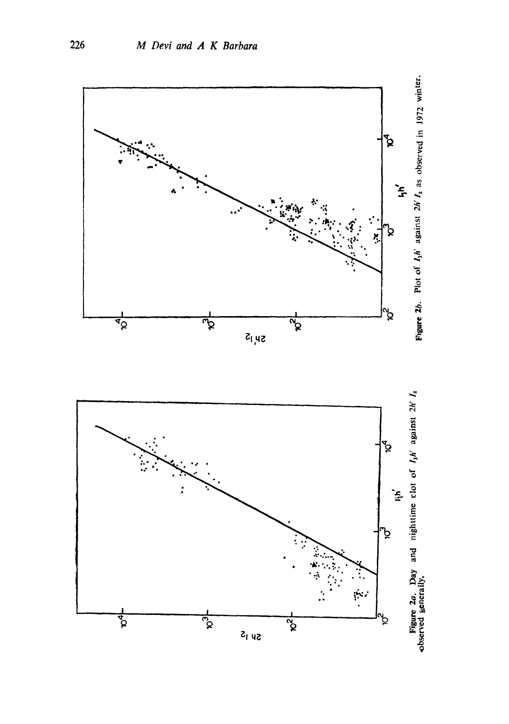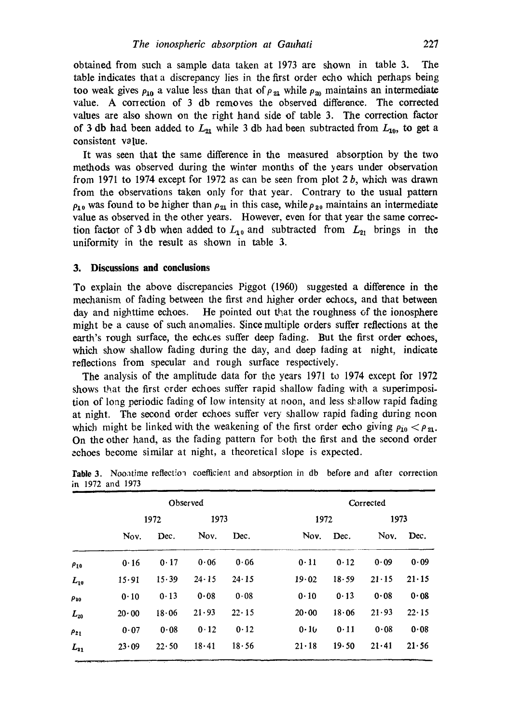obtained from such a sample data taken at 1973 are shown in table 3. The table indicates that a discrepancy lies in the first order echo which perhaps being too weak gives  $\rho_{10}$  a value less than that of  $\rho_{21}$  while  $\rho_{20}$  maintains an intermediate value. A correction of 3 db removes the observed difference. The corrected values are also shown on the right hand side of table 3. The correction factor of 3 db had been added to  $L_{21}$  while 3 db had been subtracted from  $L_{10}$ , to get a consistent value.

It was seen that the same difference in the measured absorption by the two methods was observed during the winter months of the years under observation from 1971 to 1974 except for 1972 as can be seen from plot  $2b$ , which was drawn from the observations taken only for that year. Contrary to the usual pattern  $\rho_{10}$  was found to be higher than  $\rho_{21}$  in this case, while  $\rho_{20}$  maintains an intermediate value as observed in the other years. However, even for that year the same correction factor of 3 db when added to  $L_{10}$  and subtracted from  $L_{21}$  brings in the uniformity in the result as shown in table 3.

#### **3. Discussions and conclusions**

To explain the above discrepancies Piggot (1960) suggested a difference in the mechanism of fading between the first and higher order echoes, and that between day and nighttime echoes. He pointed out that the roughness of the ionosphere might be a cause of such anomalies. Since multiple orders suffer reflections at the earth's rough surface, the echoes suffer deep fading. But the first order echoes, which show shallow fading during the day, and deep fading at night, indicate reflections from specular and rough surface respectively.

The analysis of the amplitude data for the years 1971 to 1974 except for 1972 shows that the first order echoes suffer rapid shallow fading with a superimposition of long periodic fading of low intensity at noon, and less shallow rapid fading at night. The second order echoes suffer very shallow rapid fading during neon which might be linked with the weakening of the first order echo giving  $\rho_{10} < \rho_{21}$ . On the other hand, as the fading pattern for *both* the first and the second order echoes become similar at night, a theoretical slope is expected.

|             | Observed      |               |               |               | Corrected     |       |               |               |
|-------------|---------------|---------------|---------------|---------------|---------------|-------|---------------|---------------|
|             | 1972          |               | 1973          |               | 1972          |       | 1973          |               |
|             | Nov.          | Dec.          | Nov.          | Dec.          | Nov.          | Dec.  | Nov.          | Dec.          |
| $\rho_{10}$ | 0.16          | 0.17          | 0.06          | 0.06          | 0.11          | 0.12  | 0.09          | 0.09          |
| $L_{10}$    | 15.91         | 15.39         | $24 \cdot 15$ | $24 \cdot 15$ | 19.02         | 18.59 | $21 \cdot 15$ | $21 \cdot 15$ |
| $\rho_{30}$ | 0.10          | 0.13          | 0.08          | 0.08          | 0.10          | 0.13  | 0.08          | 0.08          |
| $L_{20}$    | $20 \cdot 00$ | 18.06         | 21.93         | $22 \cdot 15$ | 20.00         | 18.06 | 21.93         | $22 \cdot 15$ |
| $\rho_{21}$ | 0.07          | 0.08          | 0.12          | 0.12          | 0.10          | 0.11  | 0.08          | 0.08          |
| $L_{21}$    | 23.09         | $22 \cdot 50$ | 18.41         | 18.56         | $21 \cdot 18$ | 19.50 | 21.41         | 21.56         |

Table 3. Noontime reflection coefficient and absorption in db before and after correction in 1972 and 1973